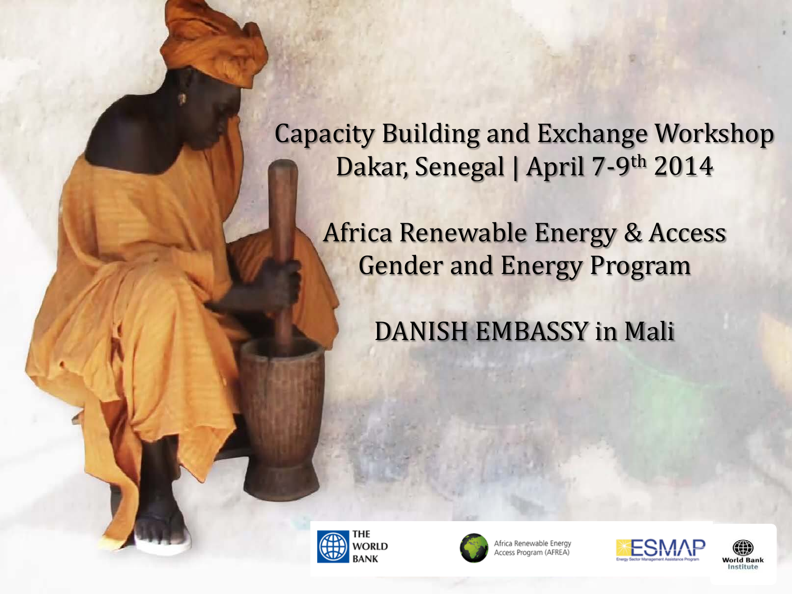Capacity Building and Exchange Workshop Dakar, Senegal | April 7-9th 2014

Africa Renewable Energy & Access Gender and Energy Program

DANISH EMBASSY in Mali





Africa Renewable Energy **Access Program (AFREA)** 



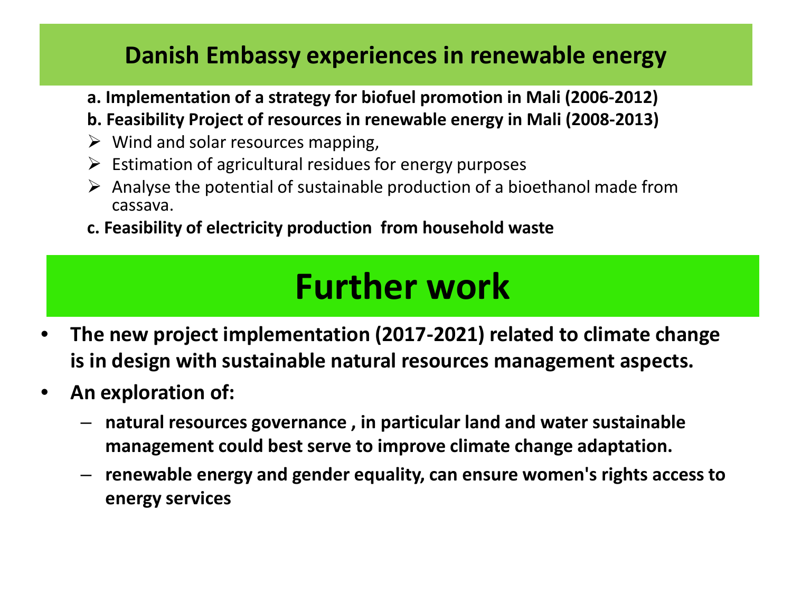#### **Danish Embassy experiences in renewable energy**

- **a. Implementation of a strategy for biofuel promotion in Mali (2006-2012)**
- **b. Feasibility Project of resources in renewable energy in Mali (2008-2013)**
- $\triangleright$  Wind and solar resources mapping,
- $\triangleright$  Estimation of agricultural residues for energy purposes
- $\triangleright$  Analyse the potential of sustainable production of a bioethanol made from cassava.
- **c. Feasibility of electricity production from household waste**

#### **Further work**

- **The new project implementation (2017-2021) related to climate change is in design with sustainable natural resources management aspects.**
- **An exploration of:** 
	- **natural resources governance , in particular land and water sustainable management could best serve to improve climate change adaptation.**
	- **renewable energy and gender equality, can ensure women's rights access to energy services**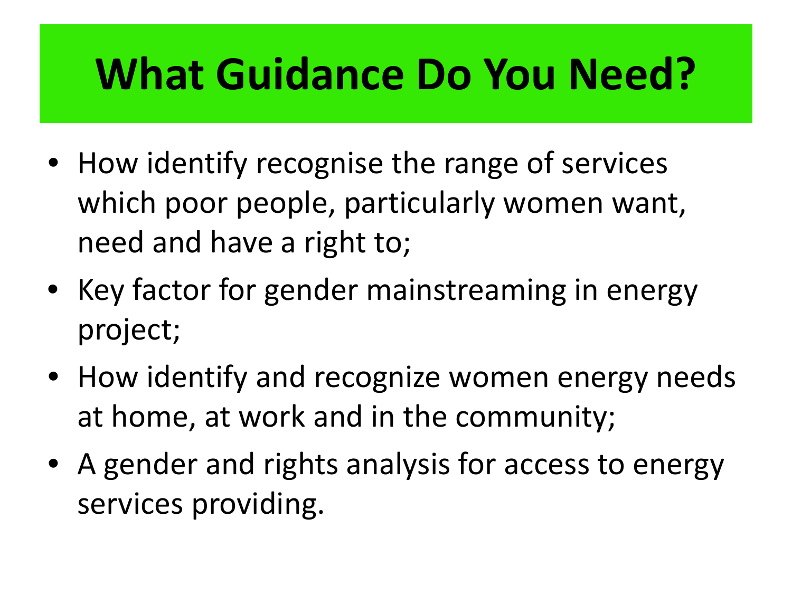### **What Guidance Do You Need?**

- How identify recognise the range of services which poor people, particularly women want, need and have a right to;
- Key factor for gender mainstreaming in energy project;
- How identify and recognize women energy needs at home, at work and in the community;
- A gender and rights analysis for access to energy services providing.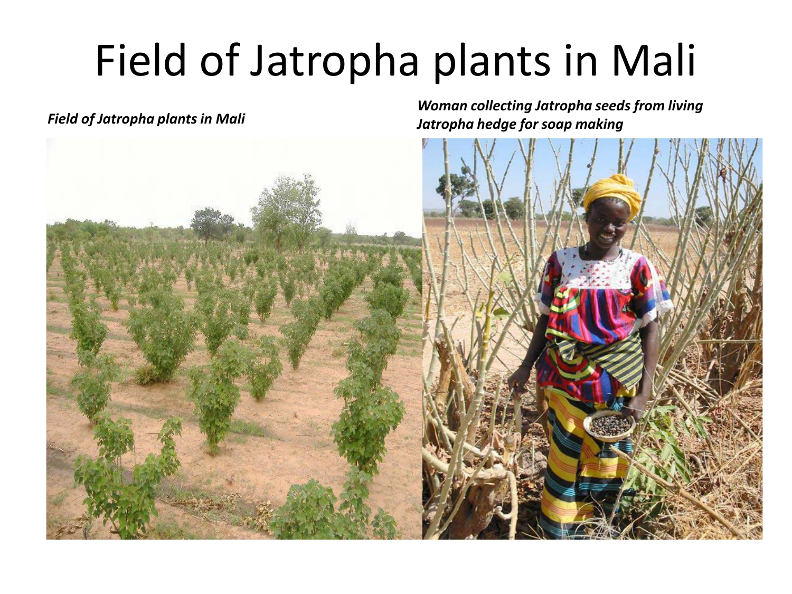# Field of Jatropha plants in Mali

*Field of Jatropha plants in Mali Woman collecting Jatropha seeds from living Jatropha hedge for soap making*